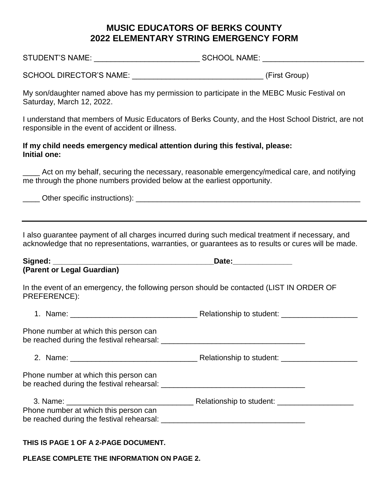# **MUSIC EDUCATORS OF BERKS COUNTY 2022 ELEMENTARY STRING EMERGENCY FORM**

STUDENT'S NAME:  $\begin{array}{ccc}\n & \multicolumn{1}{c}\n\multicolumn{1}{c}\n\multicolumn{1}{c}\n\multicolumn{1}{c}\n\multicolumn{1}{c}\n\multicolumn{1}{c}\n\multicolumn{1}{c}\n\multicolumn{1}{c}\n\multicolumn{1}{c}\n\multicolumn{1}{c}\n\multicolumn{1}{c}\n\multicolumn{1}{c}\n\multicolumn{1}{c}\n\multicolumn{1}{c}\n\multicolumn{1}{c}\n\multicolumn{1}{c}\n\multicolumn{1}{c}\n\multicolumn{1}{c}\n\multicolumn{1}{c}\n\multicolumn{1$ 

SCHOOL DIRECTOR'S NAME:  $\qquad \qquad$  (First Group)

My son/daughter named above has my permission to participate in the MEBC Music Festival on Saturday, March 12, 2022.

I understand that members of Music Educators of Berks County, and the Host School District, are not responsible in the event of accident or illness.

### **If my child needs emergency medical attention during this festival, please: Initial one:**

Act on my behalf, securing the necessary, reasonable emergency/medical care, and notifying me through the phone numbers provided below at the earliest opportunity.

\_\_\_\_ Other specific instructions): \_\_\_\_\_\_\_\_\_\_\_\_\_\_\_\_\_\_\_\_\_\_\_\_\_\_\_\_\_\_\_\_\_\_\_\_\_\_\_\_\_\_\_\_\_\_\_\_\_\_\_\_\_

I also guarantee payment of all charges incurred during such medical treatment if necessary, and acknowledge that no representations, warranties, or guarantees as to results or cures will be made.

| Signed:    |  |     |  | .)afe |
|------------|--|-----|--|-------|
| $\sqrt{2}$ |  | . . |  |       |

#### **(Parent or Legal Guardian)**

In the event of an emergency, the following person should be contacted (LIST IN ORDER OF PREFERENCE):

1. Name: etc. and the student of Relationship to student:  $\blacksquare$ 

Phone number at which this person can be reached during the festival rehearsal:  $\Box$ 

2. Name:  $\blacksquare$  Relationship to student:

Phone number at which this person can be reached during the festival rehearsal:  $\Box$ 

| 3. Name:                                  | Relationship to student: |
|-------------------------------------------|--------------------------|
| Phone number at which this person can     |                          |
| be reached during the festival rehearsal: |                          |

## **THIS IS PAGE 1 OF A 2-PAGE DOCUMENT.**

**PLEASE COMPLETE THE INFORMATION ON PAGE 2.**